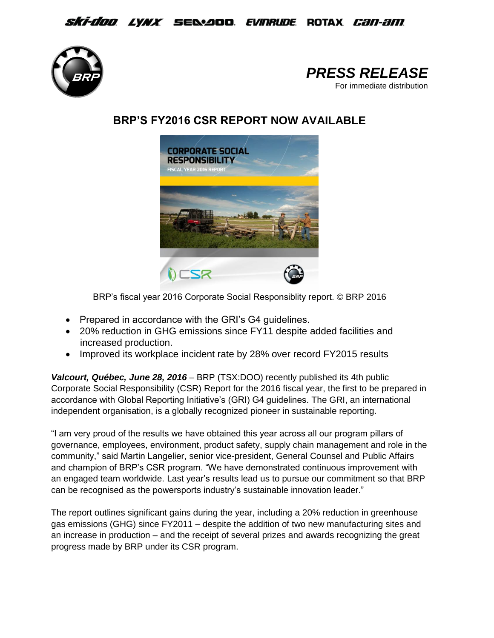*Ski-doo lynx s*elaod *evinrude* rotax *can-am* 





## **BRP'S FY2016 CSR REPORT NOW AVAILABLE**



BRP's fiscal year 2016 Corporate Social Responsiblity report. © BRP 2016

- Prepared in accordance with the GRI's G4 guidelines.
- 20% reduction in GHG emissions since FY11 despite added facilities and increased production.
- Improved its workplace incident rate by 28% over record FY2015 results

*Valcourt, Québec, June 28, 2016* – BRP (TSX:DOO) recently published its 4th public Corporate Social Responsibility (CSR) Report for the 2016 fiscal year, the first to be prepared in accordance with Global Reporting Initiative's (GRI) G4 guidelines. The GRI, an international independent organisation, is a globally recognized pioneer in sustainable reporting.

"I am very proud of the results we have obtained this year across all our program pillars of governance, employees, environment, product safety, supply chain management and role in the community," said Martin Langelier, senior vice-president, General Counsel and Public Affairs and champion of BRP's CSR program. "We have demonstrated continuous improvement with an engaged team worldwide. Last year's results lead us to pursue our commitment so that BRP can be recognised as the powersports industry's sustainable innovation leader."

The report outlines significant gains during the year, including a 20% reduction in greenhouse gas emissions (GHG) since FY2011 – despite the addition of two new manufacturing sites and an increase in production – and the receipt of several prizes and awards recognizing the great progress made by BRP under its CSR program.